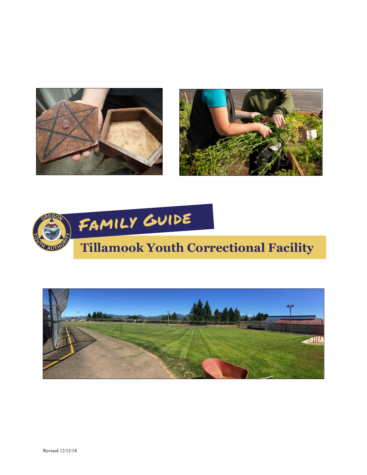





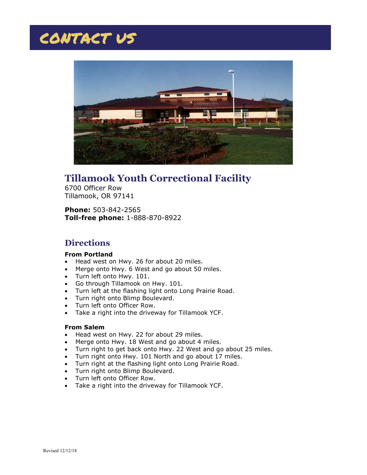## CONTACT US



## **Tillamook Youth Correctional Facility**

6700 Officer Row Tillamook, OR 97141

**Phone:** 503-842-2565 **Toll-free phone:** 1-888-870-8922

#### **Directions**

#### **From Portland**

- Head west on Hwy. 26 for about 20 miles.
- Merge onto Hwy. 6 West and go about 50 miles.
- Turn left onto Hwy. 101.
- Go through Tillamook on Hwy. 101.
- Turn left at the flashing light onto Long Prairie Road.
- Turn right onto Blimp Boulevard.
- Turn left onto Officer Row.
- Take a right into the driveway for Tillamook YCF.

#### **From Salem**

- Head west on Hwy. 22 for about 29 miles.
- Merge onto Hwy. 18 West and go about 4 miles.
- Turn right to get back onto Hwy. 22 West and go about 25 miles.
- Turn right onto Hwy. 101 North and go about 17 miles.
- Turn right at the flashing light onto Long Prairie Road.
- Turn right onto Blimp Boulevard.
- Turn left onto Officer Row.
- Take a right into the driveway for Tillamook YCF.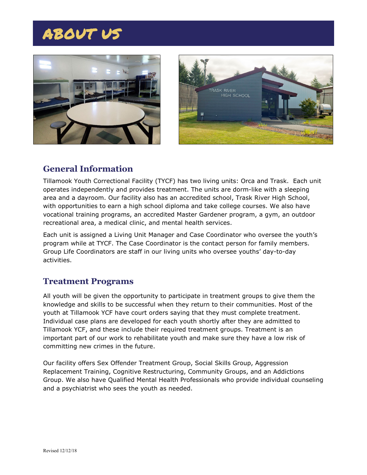# ABOUT US





#### **General Information**

Tillamook Youth Correctional Facility (TYCF) has two living units: Orca and Trask. Each unit operates independently and provides treatment. The units are dorm-like with a sleeping area and a dayroom. Our facility also has an accredited school, Trask River High School, with opportunities to earn a high school diploma and take college courses. We also have vocational training programs, an accredited Master Gardener program, a gym, an outdoor recreational area, a medical clinic, and mental health services.

Each unit is assigned a Living Unit Manager and Case Coordinator who oversee the youth's program while at TYCF. The Case Coordinator is the contact person for family members. Group Life Coordinators are staff in our living units who oversee youths' day-to-day activities.

#### **Treatment Programs**

All youth will be given the opportunity to participate in treatment groups to give them the knowledge and skills to be successful when they return to their communities. Most of the youth at Tillamook YCF have court orders saying that they must complete treatment. Individual case plans are developed for each youth shortly after they are admitted to Tillamook YCF, and these include their required treatment groups. Treatment is an important part of our work to rehabilitate youth and make sure they have a low risk of committing new crimes in the future.

Our facility offers Sex Offender Treatment Group, Social Skills Group, Aggression Replacement Training, Cognitive Restructuring, Community Groups, and an Addictions Group. We also have Qualified Mental Health Professionals who provide individual counseling and a psychiatrist who sees the youth as needed.